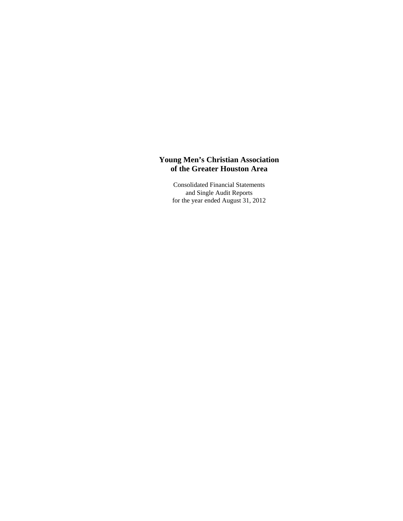Consolidated Financial Statements and Single Audit Reports for the year ended August 31, 2012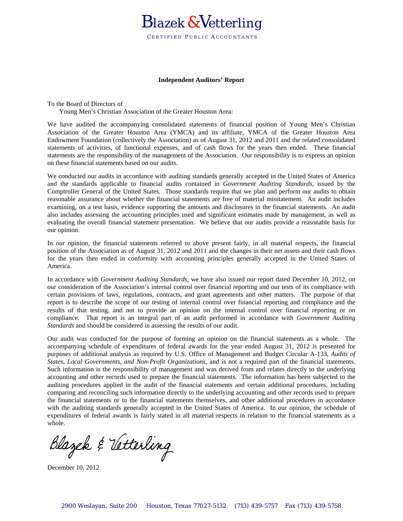

#### **Independent Auditors' Report**

To the Board of Directors of

Young Men's Christian Association of the Greater Houston Area:

We have audited the accompanying consolidated statements of financial position of Young Men's Christian Association of the Greater Houston Area (YMCA) and its affiliate, YMCA of the Greater Houston Area Endowment Foundation (collectively the Association) as of August 31, 2012 and 2011 and the related consolidated statements of activities, of functional expenses, and of cash flows for the years then ended. These financial statements are the responsibility of the management of the Association. Our responsibility is to express an opinion on these financial statements based on our audits.

We conducted our audits in accordance with auditing standards generally accepted in the United States of America and the standards applicable to financial audits contained in *Government Auditing Standards*, issued by the Comptroller General of the United States. Those standards require that we plan and perform our audits to obtain reasonable assurance about whether the financial statements are free of material misstatement. An audit includes examining, on a test basis, evidence supporting the amounts and disclosures in the financial statements. An audit also includes assessing the accounting principles used and significant estimates made by management, as well as evaluating the overall financial statement presentation. We believe that our audits provide a reasonable basis for our opinion.

In our opinion, the financial statements referred to above present fairly, in all material respects, the financial position of the Association as of August 31, 2012 and 2011 and the changes in their net assets and their cash flows for the years then ended in conformity with accounting principles generally accepted in the United States of America.

In accordance with *Government Auditing Standards*, we have also issued our report dated December 10, 2012, on our consideration of the Association's internal control over financial reporting and our tests of its compliance with certain provisions of laws, regulations, contracts, and grant agreements and other matters. The purpose of that report is to describe the scope of our testing of internal control over financial reporting and compliance and the results of that testing, and not to provide an opinion on the internal control over financial reporting or on compliance. That report is an integral part of an audit performed in accordance with *Government Auditing Standards* and should be considered in assessing the results of our audit.

Our audit was conducted for the purpose of forming an opinion on the financial statements as a whole. The accompanying schedule of expenditures of federal awards for the year ended August 31, 2012 is presented for purposes of additional analysis as required by U.S. Office of Management and Budget Circular A-133, *Audits of States, Local Governments, and Non-Profit Organizations*, and is not a required part of the financial statements. Such information is the responsibility of management and was derived from and relates directly to the underlying accounting and other records used to prepare the financial statements. The information has been subjected to the auditing procedures applied in the audit of the financial statements and certain additional procedures, including comparing and reconciling such information directly to the underlying accounting and other records used to prepare the financial statements or to the financial statements themselves, and other additional procedures in accordance with the auditing standards generally accepted in the United States of America. In our opinion, the schedule of expenditures of federal awards is fairly stated in all material respects in relation to the financial statements as a whole.

Blazek & Vetterling

December 10, 2012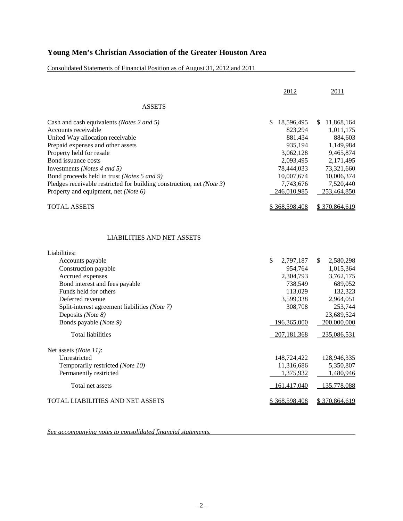Consolidated Statements of Financial Position as of August 31, 2012 and 2011

|                                                                       | 2012                      | 2011             |
|-----------------------------------------------------------------------|---------------------------|------------------|
| <b>ASSETS</b>                                                         |                           |                  |
| Cash and cash equivalents (Notes 2 and 5)                             | \$<br>18,596,495          | \$<br>11,868,164 |
| Accounts receivable                                                   | 823,294                   | 1,011,175        |
| United Way allocation receivable                                      | 881,434                   | 884,603          |
| Prepaid expenses and other assets                                     | 935,194                   | 1,149,984        |
| Property held for resale                                              | 3,062,128                 | 9,465,874        |
| Bond issuance costs                                                   | 2,093,495                 | 2,171,495        |
| Investments (Notes 4 and 5)                                           | 78,444,033                | 73,321,660       |
| Bond proceeds held in trust (Notes 5 and 9)                           | 10,007,674                | 10,006,374       |
| Pledges receivable restricted for building construction, net (Note 3) | 7,743,676                 | 7,520,440        |
| Property and equipment, net (Note 6)                                  | 246,010,985               | 253,464,850      |
| <b>TOTAL ASSETS</b>                                                   | \$368,598,408             | \$370,864,619    |
| <b>LIABILITIES AND NET ASSETS</b>                                     |                           |                  |
| Liabilities:                                                          |                           |                  |
| Accounts payable                                                      | $\mathbb{S}$<br>2,797,187 | \$<br>2,580,298  |
| Construction payable                                                  | 954,764                   | 1,015,364        |
| Accrued expenses                                                      | 2,304,793                 | 3,762,175        |
| Bond interest and fees payable                                        | 738,549                   | 689,052          |
| Funds held for others                                                 | 113,029                   | 132,323          |
| Deferred revenue                                                      | 3,599,338                 | 2,964,051        |
| Split-interest agreement liabilities (Note 7)                         | 308,708                   | 253,744          |
| Deposits (Note 8)                                                     |                           | 23,689,524       |
| Bonds payable (Note 9)                                                | 196,365,000               | 200,000,000      |
| <b>Total liabilities</b>                                              | 207,181,368               | 235,086,531      |
| Net assets (Note 11):                                                 |                           |                  |
| Unrestricted                                                          | 148,724,422               | 128,946,335      |
| Temporarily restricted (Note 10)                                      | 11,316,686                | 5,350,807        |
| Permanently restricted                                                | 1,375,932                 | 1,480,946        |
| Total net assets                                                      | 161,417,040               | 135,778,088      |
| TOTAL LIABILITIES AND NET ASSETS                                      | \$368,598,408             | \$370,864,619    |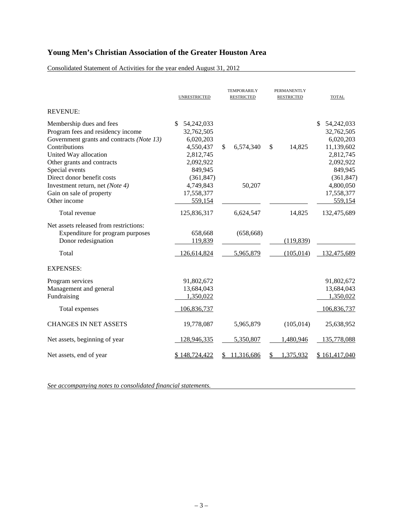Consolidated Statement of Activities for the year ended August 31, 2012

|                                                                                                                                                      | <b>UNRESTRICTED</b>                                                   | <b>TEMPORARILY</b><br>PERMANENTLY<br><b>RESTRICTED</b><br><b>RESTRICTED</b> |              | <b>TOTAL</b>                                                           |
|------------------------------------------------------------------------------------------------------------------------------------------------------|-----------------------------------------------------------------------|-----------------------------------------------------------------------------|--------------|------------------------------------------------------------------------|
| <b>REVENUE:</b>                                                                                                                                      |                                                                       |                                                                             |              |                                                                        |
| Membership dues and fees<br>Program fees and residency income<br>Government grants and contracts (Note 13)<br>Contributions<br>United Way allocation | \$<br>54,242,033<br>32,762,505<br>6,020,203<br>4,550,437<br>2,812,745 | \$<br>6,574,340                                                             | \$<br>14,825 | \$<br>54,242,033<br>32,762,505<br>6,020,203<br>11,139,602<br>2,812,745 |
| Other grants and contracts<br>Special events<br>Direct donor benefit costs<br>Investment return, net (Note 4)                                        | 2,092,922<br>849,945<br>(361, 847)<br>4,749,843                       | 50,207                                                                      |              | 2,092,922<br>849,945<br>(361, 847)<br>4,800,050                        |
| Gain on sale of property<br>Other income                                                                                                             | 17,558,377<br>559,154                                                 |                                                                             |              | 17,558,377<br>559,154                                                  |
| Total revenue                                                                                                                                        | 125,836,317                                                           | 6,624,547                                                                   | 14,825       | 132,475,689                                                            |
| Net assets released from restrictions:<br>Expenditure for program purposes<br>Donor redesignation                                                    | 658,668<br>119,839                                                    | (658, 668)                                                                  | (119, 839)   |                                                                        |
| Total                                                                                                                                                | 126,614,824                                                           | 5,965,879                                                                   | (105,014)    | 132,475,689                                                            |
| <b>EXPENSES:</b>                                                                                                                                     |                                                                       |                                                                             |              |                                                                        |
| Program services<br>Management and general<br>Fundraising                                                                                            | 91,802,672<br>13,684,043<br>1,350,022                                 |                                                                             |              | 91,802,672<br>13,684,043<br>1,350,022                                  |
| Total expenses                                                                                                                                       | 106,836,737                                                           |                                                                             |              | 106,836,737                                                            |
| <b>CHANGES IN NET ASSETS</b>                                                                                                                         | 19,778,087                                                            | 5,965,879                                                                   | (105, 014)   | 25,638,952                                                             |
| Net assets, beginning of year                                                                                                                        | 128,946,335                                                           | 5,350,807                                                                   | 1,480,946    | 135,778,088                                                            |
| Net assets, end of year                                                                                                                              | \$148,724,422                                                         | 11,316,686<br>S                                                             | 1,375,932    | \$161,417,040                                                          |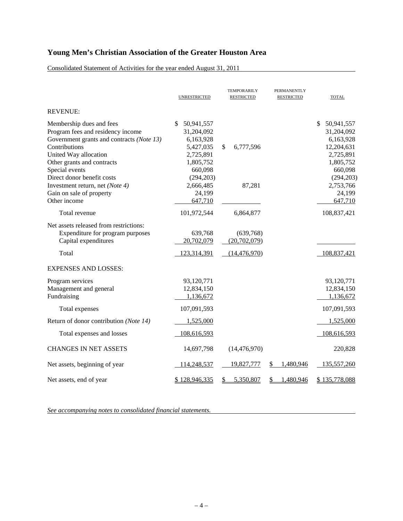Consolidated Statement of Activities for the year ended August 31, 2011

|                                                                                                                                                                                                                                    | <b>UNRESTRICTED</b>                                                                                         | <b>TEMPORARILY</b><br><b>RESTRICTED</b>       | <b>PERMANENTLY</b><br><b>RESTRICTED</b> | <b>TOTAL</b>                                                                                                 |
|------------------------------------------------------------------------------------------------------------------------------------------------------------------------------------------------------------------------------------|-------------------------------------------------------------------------------------------------------------|-----------------------------------------------|-----------------------------------------|--------------------------------------------------------------------------------------------------------------|
| <b>REVENUE:</b>                                                                                                                                                                                                                    |                                                                                                             |                                               |                                         |                                                                                                              |
| Membership dues and fees<br>Program fees and residency income<br>Government grants and contracts (Note 13)<br>Contributions<br>United Way allocation<br>Other grants and contracts<br>Special events<br>Direct donor benefit costs | 50,941,557<br>\$<br>31,204,092<br>6,163,928<br>5,427,035<br>2,725,891<br>1,805,752<br>660,098<br>(294, 203) | \$<br>6,777,596                               |                                         | \$<br>50,941,557<br>31,204,092<br>6,163,928<br>12,204,631<br>2,725,891<br>1,805,752<br>660,098<br>(294, 203) |
| Investment return, net (Note 4)<br>Gain on sale of property<br>Other income                                                                                                                                                        | 2,666,485<br>24,199<br>647,710                                                                              | 87,281                                        |                                         | 2,753,766<br>24,199<br>647,710                                                                               |
| Total revenue                                                                                                                                                                                                                      | 101,972,544                                                                                                 | 6,864,877                                     |                                         | 108,837,421                                                                                                  |
| Net assets released from restrictions:<br>Expenditure for program purposes<br>Capital expenditures<br>Total                                                                                                                        | 639,768<br>20,702,079<br>123,314,391                                                                        | (639,768)<br>(20, 702, 079)<br>(14, 476, 970) |                                         | 108,837,421                                                                                                  |
|                                                                                                                                                                                                                                    |                                                                                                             |                                               |                                         |                                                                                                              |
| <b>EXPENSES AND LOSSES:</b>                                                                                                                                                                                                        |                                                                                                             |                                               |                                         |                                                                                                              |
| Program services<br>Management and general<br>Fundraising                                                                                                                                                                          | 93,120,771<br>12,834,150<br>1,136,672                                                                       |                                               |                                         | 93,120,771<br>12,834,150<br>1,136,672                                                                        |
| Total expenses                                                                                                                                                                                                                     | 107,091,593                                                                                                 |                                               |                                         | 107,091,593                                                                                                  |
| Return of donor contribution (Note 14)                                                                                                                                                                                             | 1,525,000                                                                                                   |                                               |                                         | 1,525,000                                                                                                    |
| Total expenses and losses                                                                                                                                                                                                          | 108,616,593                                                                                                 |                                               |                                         | 108,616,593                                                                                                  |
| <b>CHANGES IN NET ASSETS</b>                                                                                                                                                                                                       | 14,697,798                                                                                                  | (14, 476, 970)                                |                                         | 220,828                                                                                                      |
| Net assets, beginning of year                                                                                                                                                                                                      | 114,248,537                                                                                                 | 19,827,777                                    | 1,480,946<br>S                          | 135,557,260                                                                                                  |
| Net assets, end of year                                                                                                                                                                                                            | \$128,946,335                                                                                               | 5,350,807<br>S.                               | 1,480,946                               | \$135,778,088                                                                                                |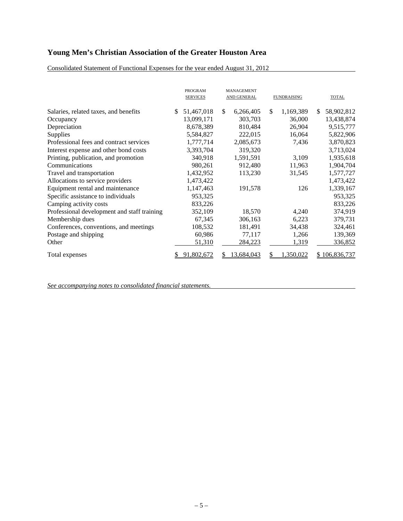Consolidated Statement of Functional Expenses for the year ended August 31, 2012

|                                             |     | <b>PROGRAM</b><br><b>SERVICES</b> |               | <b>MANAGEMENT</b><br>AND GENERAL |     | <b>FUNDRAISING</b> |     | <b>TOTAL</b>  |
|---------------------------------------------|-----|-----------------------------------|---------------|----------------------------------|-----|--------------------|-----|---------------|
| Salaries, related taxes, and benefits       | \$. | 51,467,018                        | <sup>\$</sup> | 6,266,405                        | \$. | 1,169,389          | \$. | 58,902,812    |
| Occupancy                                   |     | 13,099,171                        |               | 303,703                          |     | 36,000             |     | 13,438,874    |
| Depreciation                                |     | 8,678,389                         |               | 810,484                          |     | 26,904             |     | 9,515,777     |
| <b>Supplies</b>                             |     | 5,584,827                         |               | 222,015                          |     | 16,064             |     | 5,822,906     |
| Professional fees and contract services     |     | 1,777,714                         |               | 2,085,673                        |     | 7,436              |     | 3,870,823     |
| Interest expense and other bond costs       |     | 3,393,704                         |               | 319,320                          |     |                    |     | 3,713,024     |
| Printing, publication, and promotion        |     | 340,918                           |               | 1,591,591                        |     | 3,109              |     | 1,935,618     |
| Communications                              |     | 980,261                           |               | 912,480                          |     | 11,963             |     | 1,904,704     |
| Travel and transportation                   |     | 1,432,952                         |               | 113,230                          |     | 31,545             |     | 1,577,727     |
| Allocations to service providers            |     | 1,473,422                         |               |                                  |     |                    |     | 1,473,422     |
| Equipment rental and maintenance            |     | 1,147,463                         |               | 191,578                          |     | 126                |     | 1,339,167     |
| Specific assistance to individuals          |     | 953,325                           |               |                                  |     |                    |     | 953,325       |
| Camping activity costs                      |     | 833,226                           |               |                                  |     |                    |     | 833,226       |
| Professional development and staff training |     | 352,109                           |               | 18,570                           |     | 4,240              |     | 374,919       |
| Membership dues                             |     | 67,345                            |               | 306,163                          |     | 6,223              |     | 379,731       |
| Conferences, conventions, and meetings      |     | 108,532                           |               | 181,491                          |     | 34,438             |     | 324,461       |
| Postage and shipping                        |     | 60,986                            |               | 77,117                           |     | 1,266              |     | 139,369       |
| Other                                       |     | 51,310                            |               | 284,223                          |     | 1,319              |     | 336,852       |
| Total expenses                              |     | 91,802,672                        | S             | 13,684,043                       | S   | 1,350,022          |     | \$106,836,737 |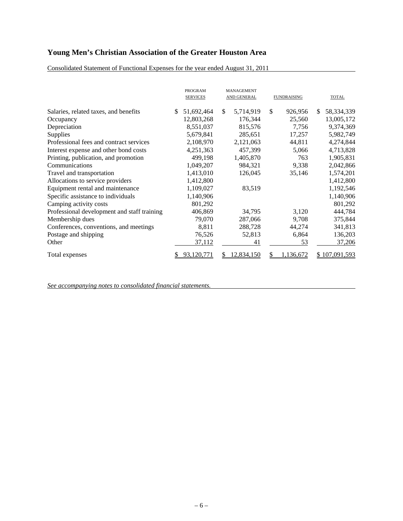| Consolidated Statement of Functional Expenses for the year ended August 31, 2011 |  |  |
|----------------------------------------------------------------------------------|--|--|
|                                                                                  |  |  |

|                                             |     | <b>PROGRAM</b><br><b>SERVICES</b> |               | <b>MANAGEMENT</b><br>AND GENERAL |    | <b>FUNDRAISING</b> | <b>TOTAL</b>     |
|---------------------------------------------|-----|-----------------------------------|---------------|----------------------------------|----|--------------------|------------------|
| Salaries, related taxes, and benefits       | \$. | 51,692,464                        | <sup>\$</sup> | 5,714,919                        | \$ | 926,956            | \$<br>58,334,339 |
| Occupancy                                   |     | 12,803,268                        |               | 176,344                          |    | 25,560             | 13,005,172       |
| Depreciation                                |     | 8,551,037                         |               | 815,576                          |    | 7,756              | 9,374,369        |
| <b>Supplies</b>                             |     | 5,679,841                         |               | 285,651                          |    | 17,257             | 5,982,749        |
| Professional fees and contract services     |     | 2,108,970                         |               | 2,121,063                        |    | 44,811             | 4,274,844        |
| Interest expense and other bond costs       |     | 4,251,363                         |               | 457,399                          |    | 5,066              | 4,713,828        |
| Printing, publication, and promotion        |     | 499,198                           |               | 1,405,870                        |    | 763                | 1,905,831        |
| Communications                              |     | 1,049,207                         |               | 984,321                          |    | 9,338              | 2,042,866        |
| Travel and transportation                   |     | 1,413,010                         |               | 126,045                          |    | 35,146             | 1,574,201        |
| Allocations to service providers            |     | 1,412,800                         |               |                                  |    |                    | 1,412,800        |
| Equipment rental and maintenance            |     | 1,109,027                         |               | 83,519                           |    |                    | 1,192,546        |
| Specific assistance to individuals          |     | 1,140,906                         |               |                                  |    |                    | 1,140,906        |
| Camping activity costs                      |     | 801,292                           |               |                                  |    |                    | 801,292          |
| Professional development and staff training |     | 406,869                           |               | 34,795                           |    | 3,120              | 444,784          |
| Membership dues                             |     | 79,070                            |               | 287,066                          |    | 9.708              | 375,844          |
| Conferences, conventions, and meetings      |     | 8,811                             |               | 288,728                          |    | 44,274             | 341,813          |
| Postage and shipping                        |     | 76,526                            |               | 52,813                           |    | 6,864              | 136,203          |
| Other                                       |     | 37,112                            |               | 41                               |    | 53                 | 37,206           |
| Total expenses                              |     | 93,120,771                        | S             | 12,834,150                       | S  | 1,136,672          | \$107,091,593    |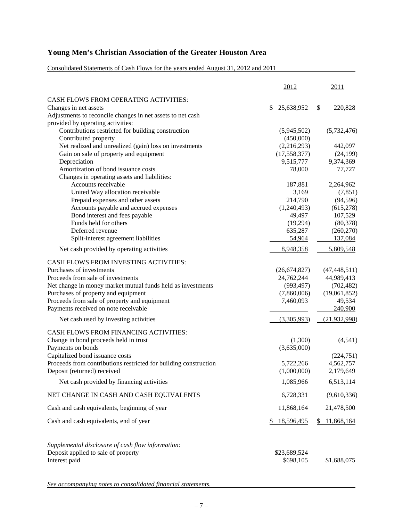Consolidated Statements of Cash Flows for the years ended August 31, 2012 and 2011

|                                                                  | 2012             | 2011           |
|------------------------------------------------------------------|------------------|----------------|
| CASH FLOWS FROM OPERATING ACTIVITIES:                            |                  |                |
| Changes in net assets                                            | \$<br>25,638,952 | 220,828<br>\$  |
| Adjustments to reconcile changes in net assets to net cash       |                  |                |
| provided by operating activities:                                |                  |                |
| Contributions restricted for building construction               | (5,945,502)      | (5,732,476)    |
| Contributed property                                             | (450,000)        |                |
| Net realized and unrealized (gain) loss on investments           | (2,216,293)      | 442,097        |
| Gain on sale of property and equipment                           | (17,558,377)     | (24, 199)      |
| Depreciation                                                     | 9,515,777        | 9,374,369      |
| Amortization of bond issuance costs                              | 78,000           | 77,727         |
| Changes in operating assets and liabilities:                     |                  |                |
| Accounts receivable                                              | 187,881          | 2,264,962      |
| United Way allocation receivable                                 | 3,169            | (7, 851)       |
| Prepaid expenses and other assets                                | 214,790          | (94, 596)      |
| Accounts payable and accrued expenses                            | (1,240,493)      | (615,278)      |
| Bond interest and fees payable                                   | 49,497           | 107,529        |
| Funds held for others                                            | (19,294)         | (80, 378)      |
| Deferred revenue                                                 | 635,287          | (260, 270)     |
| Split-interest agreement liabilities                             | 54,964           | 137,084        |
| Net cash provided by operating activities                        | 8,948,358        | 5,809,548      |
| CASH FLOWS FROM INVESTING ACTIVITIES:                            |                  |                |
| Purchases of investments                                         | (26, 674, 827)   | (47, 448, 511) |
| Proceeds from sale of investments                                | 24,762,244       | 44,989,413     |
| Net change in money market mutual funds held as investments      | (993, 497)       | (702, 482)     |
| Purchases of property and equipment                              | (7,860,006)      | (19,061,852)   |
| Proceeds from sale of property and equipment                     | 7,460,093        | 49,534         |
| Payments received on note receivable                             |                  | 240,900        |
| Net cash used by investing activities                            | (3,305,993)      | (21,932,998)   |
| <b>CASH FLOWS FROM FINANCING ACTIVITIES:</b>                     |                  |                |
| Change in bond proceeds held in trust                            | (1,300)          | (4,541)        |
| Payments on bonds                                                | (3,635,000)      |                |
| Capitalized bond issuance costs                                  |                  | (224,751)      |
| Proceeds from contributions restricted for building construction | 5,722,266        | 4,562,757      |
| Deposit (returned) received                                      | (1,000,000)      | 2,179,649      |
| Net cash provided by financing activities                        | 1,085,966        | 6,513,114      |
| NET CHANGE IN CASH AND CASH EQUIVALENTS                          | 6,728,331        | (9,610,336)    |
| Cash and cash equivalents, beginning of year                     | 11,868,164       | 21,478,500     |
| Cash and cash equivalents, end of year                           | 18,596,495       | 11,868,164     |
|                                                                  |                  |                |
| Supplemental disclosure of cash flow information:                |                  |                |
| Deposit applied to sale of property                              | \$23,689,524     |                |
| Interest paid                                                    | \$698,105        | \$1,688,075    |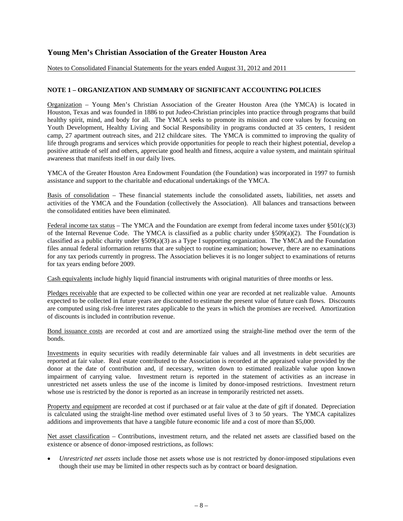Notes to Consolidated Financial Statements for the years ended August 31, 2012 and 2011

### **NOTE 1 – ORGANIZATION AND SUMMARY OF SIGNIFICANT ACCOUNTING POLICIES**

Organization – Young Men's Christian Association of the Greater Houston Area (the YMCA) is located in Houston, Texas and was founded in 1886 to put Judeo-Christian principles into practice through programs that build healthy spirit, mind, and body for all. The YMCA seeks to promote its mission and core values by focusing on Youth Development, Healthy Living and Social Responsibility in programs conducted at 35 centers, 1 resident camp, 27 apartment outreach sites, and 212 childcare sites. The YMCA is committed to improving the quality of life through programs and services which provide opportunities for people to reach their highest potential, develop a positive attitude of self and others, appreciate good health and fitness, acquire a value system, and maintain spiritual awareness that manifests itself in our daily lives.

YMCA of the Greater Houston Area Endowment Foundation (the Foundation) was incorporated in 1997 to furnish assistance and support to the charitable and educational undertakings of the YMCA.

Basis of consolidation – These financial statements include the consolidated assets, liabilities, net assets and activities of the YMCA and the Foundation (collectively the Association). All balances and transactions between the consolidated entities have been eliminated.

Federal income tax status – The YMCA and the Foundation are exempt from federal income taxes under  $\S501(c)(3)$ of the Internal Revenue Code. The YMCA is classified as a public charity under §509(a)(2). The Foundation is classified as a public charity under  $\S509(a)(3)$  as a Type I supporting organization. The YMCA and the Foundation files annual federal information returns that are subject to routine examination; however, there are no examinations for any tax periods currently in progress. The Association believes it is no longer subject to examinations of returns for tax years ending before 2009.

Cash equivalents include highly liquid financial instruments with original maturities of three months or less.

Pledges receivable that are expected to be collected within one year are recorded at net realizable value. Amounts expected to be collected in future years are discounted to estimate the present value of future cash flows. Discounts are computed using risk-free interest rates applicable to the years in which the promises are received. Amortization of discounts is included in contribution revenue.

Bond issuance costs are recorded at cost and are amortized using the straight-line method over the term of the bonds.

Investments in equity securities with readily determinable fair values and all investments in debt securities are reported at fair value. Real estate contributed to the Association is recorded at the appraised value provided by the donor at the date of contribution and, if necessary, written down to estimated realizable value upon known impairment of carrying value. Investment return is reported in the statement of activities as an increase in unrestricted net assets unless the use of the income is limited by donor-imposed restrictions. Investment return whose use is restricted by the donor is reported as an increase in temporarily restricted net assets.

Property and equipment are recorded at cost if purchased or at fair value at the date of gift if donated. Depreciation is calculated using the straight-line method over estimated useful lives of 3 to 50 years. The YMCA capitalizes additions and improvements that have a tangible future economic life and a cost of more than \$5,000.

Net asset classification – Contributions, investment return, and the related net assets are classified based on the existence or absence of donor-imposed restrictions, as follows:

• *Unrestricted net assets* include those net assets whose use is not restricted by donor-imposed stipulations even though their use may be limited in other respects such as by contract or board designation.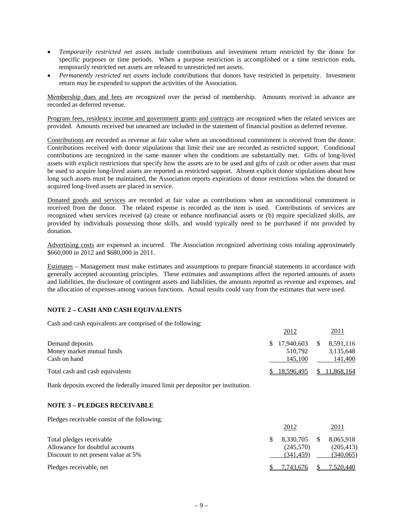- *Temporarily restricted net assets* include contributions and investment return restricted by the donor for specific purposes or time periods. When a purpose restriction is accomplished or a time restriction ends, temporarily restricted net assets are released to unrestricted net assets.
- *Permanently restricted net assets* include contributions that donors have restricted in perpetuity. Investment return may be expended to support the activities of the Association.

Membership dues and fees are recognized over the period of membership. Amounts received in advance are recorded as deferred revenue.

Program fees, residency income and government grants and contracts are recognized when the related services are provided. Amounts received but unearned are included in the statement of financial position as deferred revenue.

Contributions are recorded as revenue at fair value when an unconditional commitment is received from the donor. Contributions received with donor stipulations that limit their use are recorded as restricted support. Conditional contributions are recognized in the same manner when the conditions are substantially met. Gifts of long-lived assets with explicit restrictions that specify how the assets are to be used and gifts of cash or other assets that must be used to acquire long-lived assets are reported as restricted support. Absent explicit donor stipulations about how long such assets must be maintained, the Association reports expirations of donor restrictions when the donated or acquired long-lived assets are placed in service.

Donated goods and services are recorded at fair value as contributions when an unconditional commitment is received from the donor. The related expense is recorded as the item is used. Contributions of services are recognized when services received (a) create or enhance nonfinancial assets or (b) require specialized skills, are provided by individuals possessing those skills, and would typically need to be purchased if not provided by donation.

Advertising costs are expensed as incurred. The Association recognized advertising costs totaling approximately \$660,000 in 2012 and \$680,000 in 2011.

Estimates – Management must make estimates and assumptions to prepare financial statements in accordance with generally accepted accounting principles. These estimates and assumptions affect the reported amounts of assets and liabilities, the disclosure of contingent assets and liabilities, the amounts reported as revenue and expenses, and the allocation of expenses among various functions. Actual results could vary from the estimates that were used.

### **NOTE 2 – CASH AND CASH EQUIVALENTS**

Cash and cash equivalents are comprised of the following:

|                                 | 2012         |               | <u>2011</u> |
|---------------------------------|--------------|---------------|-------------|
| Demand deposits                 | \$17,940,603 | <sup>\$</sup> | 8,591,116   |
| Money market mutual funds       | 510.792      |               | 3,135,648   |
| Cash on hand                    | 145,100      |               | 141,400     |
| Total cash and cash equivalents | 18,596,495   |               | 11,868,164  |

Bank deposits exceed the federally insured limit per depositor per institution.

## **NOTE 3 – PLEDGES RECEIVABLE**

Pledges receivable consist of the following:

|                                     |     | <u> 2012</u> | <u>2011</u> |
|-------------------------------------|-----|--------------|-------------|
| Total pledges receivable            | SS. | 8.330.705    | 8,065,918   |
| Allowance for doubtful accounts     |     | (245.570)    | (205, 413)  |
| Discount to net present value at 5% |     | (341, 459)   | (340,065)   |
| Pledges receivable, net             |     | 7.743.676    | 7,520,440   |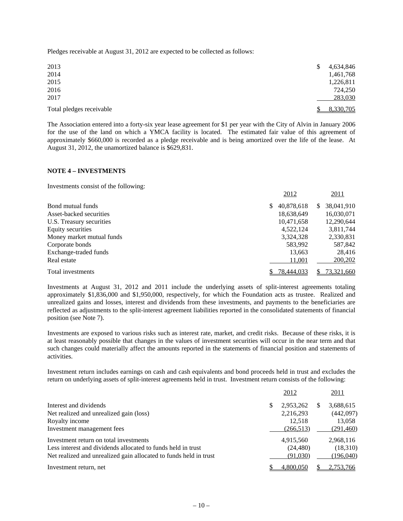Pledges receivable at August 31, 2012 are expected to be collected as follows:

| 2013                     | \$<br>4,634,846 |
|--------------------------|-----------------|
| 2014                     | 1,461,768       |
| 2015                     | 1,226,811       |
| 2016                     | 724,250         |
| 2017                     | 283,030         |
| Total pledges receivable | 8,330,705       |

The Association entered into a forty-six year lease agreement for \$1 per year with the City of Alvin in January 2006 for the use of the land on which a YMCA facility is located. The estimated fair value of this agreement of approximately \$660,000 is recorded as a pledge receivable and is being amortized over the life of the lease. At August 31, 2012, the unamortized balance is \$629,831.

#### **NOTE 4 – INVESTMENTS**

Investments consist of the following:

|                           | 2012             | 2011            |
|---------------------------|------------------|-----------------|
| Bond mutual funds         | 40,878,618<br>S. | 38,041,910<br>S |
| Asset-backed securities   | 18,638,649       | 16,030,071      |
| U.S. Treasury securities  | 10,471,658       | 12,290,644      |
| Equity securities         | 4.522.124        | 3,811,744       |
| Money market mutual funds | 3,324,328        | 2,330,831       |
| Corporate bonds           | 583,992          | 587,842         |
| Exchange-traded funds     | 13,663           | 28,416          |
| Real estate               | 11,001           | 200,202         |
| Total investments         | 78,444,033       | 73.321.660      |

Investments at August 31, 2012 and 2011 include the underlying assets of split-interest agreements totaling approximately \$1,836,000 and \$1,950,000, respectively, for which the Foundation acts as trustee. Realized and unrealized gains and losses, interest and dividends from these investments, and payments to the beneficiaries are reflected as adjustments to the split-interest agreement liabilities reported in the consolidated statements of financial position (see Note 7).

Investments are exposed to various risks such as interest rate, market, and credit risks. Because of these risks, it is at least reasonably possible that changes in the values of investment securities will occur in the near term and that such changes could materially affect the amounts reported in the statements of financial position and statements of activities.

Investment return includes earnings on cash and cash equivalents and bond proceeds held in trust and excludes the return on underlying assets of split-interest agreements held in trust. Investment return consists of the following:

|                                                                   |   | 2012       |   | 2011       |
|-------------------------------------------------------------------|---|------------|---|------------|
| Interest and dividends                                            | S | 2,953,262  | S | 3,688,615  |
| Net realized and unrealized gain (loss)                           |   | 2,216,293  |   | (442,097)  |
| Royalty income                                                    |   | 12.518     |   | 13,058     |
| Investment management fees                                        |   | (266, 513) |   | (291, 460) |
| Investment return on total investments                            |   | 4,915,560  |   | 2,968,116  |
| Less interest and dividends allocated to funds held in trust      |   | (24, 480)  |   | (18,310)   |
| Net realized and unrealized gain allocated to funds held in trust |   | (91,030)   |   | (196,040)  |
| Investment return, net                                            |   | 4.800.050  |   | 2.753.766  |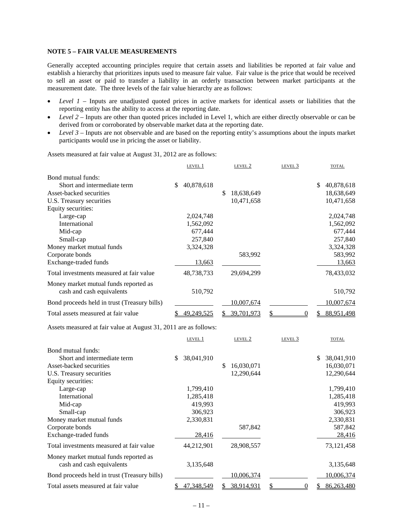### **NOTE 5 – FAIR VALUE MEASUREMENTS**

Generally accepted accounting principles require that certain assets and liabilities be reported at fair value and establish a hierarchy that prioritizes inputs used to measure fair value. Fair value is the price that would be received to sell an asset or paid to transfer a liability in an orderly transaction between market participants at the measurement date. The three levels of the fair value hierarchy are as follows:

- *Level 1* Inputs are unadjusted quoted prices in active markets for identical assets or liabilities that the reporting entity has the ability to access at the reporting date.
- *Level 2* Inputs are other than quoted prices included in Level 1, which are either directly observable or can be derived from or corroborated by observable market data at the reporting date.
- *Level 3* Inputs are not observable and are based on the reporting entity's assumptions about the inputs market participants would use in pricing the asset or liability.

Assets measured at fair value at August 31, 2012 are as follows:

|                                              | LEVEL 1          | LEVEL 2           | LEVEL 3 | <b>TOTAL</b>     |
|----------------------------------------------|------------------|-------------------|---------|------------------|
| Bond mutual funds:                           |                  |                   |         |                  |
| Short and intermediate term                  | 40,878,618<br>\$ |                   |         | \$<br>40,878,618 |
| Asset-backed securities                      |                  | \$<br>18,638,649  |         | 18,638,649       |
| U.S. Treasury securities                     |                  | 10,471,658        |         | 10,471,658       |
| Equity securities:                           |                  |                   |         |                  |
| Large-cap                                    | 2,024,748        |                   |         | 2,024,748        |
| International                                | 1,562,092        |                   |         | 1,562,092        |
| Mid-cap                                      | 677,444          |                   |         | 677,444          |
| Small-cap                                    | 257,840          |                   |         | 257,840          |
| Money market mutual funds                    | 3,324,328        |                   |         | 3,324,328        |
| Corporate bonds                              |                  | 583,992           |         | 583,992          |
| Exchange-traded funds                        | 13,663           |                   |         | 13,663           |
| Total investments measured at fair value     | 48,738,733       | 29,694,299        |         | 78,433,032       |
| Money market mutual funds reported as        |                  |                   |         |                  |
| cash and cash equivalents                    | 510,792          |                   |         | 510,792          |
| Bond proceeds held in trust (Treasury bills) |                  | <u>10,007,674</u> |         | 10,007,674       |
| Total assets measured at fair value          | 49,249,525       | 39,701,973        |         | 88,951,498       |

Assets measured at fair value at August 31, 2011 are as follows:

|                                              | LEVEL 1          | LEVEL 2          | LEVEL <sub>3</sub> | <b>TOTAL</b>     |
|----------------------------------------------|------------------|------------------|--------------------|------------------|
| Bond mutual funds:                           |                  |                  |                    |                  |
| Short and intermediate term                  | \$<br>38,041,910 |                  |                    | \$<br>38,041,910 |
| Asset-backed securities                      |                  | \$<br>16,030,071 |                    | 16,030,071       |
| U.S. Treasury securities                     |                  | 12,290,644       |                    | 12,290,644       |
| Equity securities:                           |                  |                  |                    |                  |
| Large-cap                                    | 1,799,410        |                  |                    | 1,799,410        |
| International                                | 1,285,418        |                  |                    | 1,285,418        |
| Mid-cap                                      | 419,993          |                  |                    | 419,993          |
| Small-cap                                    | 306,923          |                  |                    | 306,923          |
| Money market mutual funds                    | 2,330,831        |                  |                    | 2,330,831        |
| Corporate bonds                              |                  | 587,842          |                    | 587,842          |
| Exchange-traded funds                        | 28,416           |                  |                    | 28,416           |
| Total investments measured at fair value     | 44,212,901       | 28,908,557       |                    | 73, 121, 458     |
| Money market mutual funds reported as        |                  |                  |                    |                  |
| cash and cash equivalents                    | 3,135,648        |                  |                    | 3,135,648        |
| Bond proceeds held in trust (Treasury bills) |                  | 10,006,374       |                    | 10,006,374       |
| Total assets measured at fair value          | 47.348.549       | 38,914,931       |                    | 86,263,480       |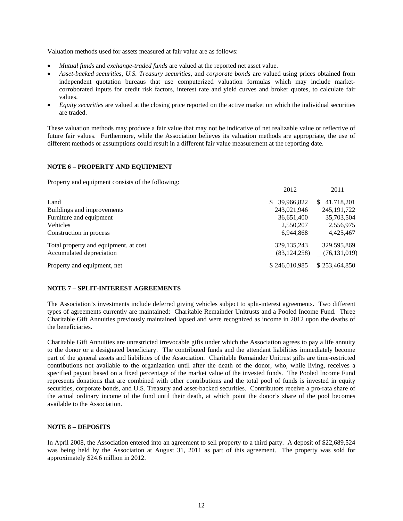Valuation methods used for assets measured at fair value are as follows:

- *Mutual funds* and *exchange-traded funds* are valued at the reported net asset value.
- *Asset-backed securities, U.S. Treasury securities,* and *corporate bonds* are valued using prices obtained from independent quotation bureaus that use computerized valuation formulas which may include marketcorroborated inputs for credit risk factors, interest rate and yield curves and broker quotes, to calculate fair values.
- *Equity securities* are valued at the closing price reported on the active market on which the individual securities are traded.

These valuation methods may produce a fair value that may not be indicative of net realizable value or reflective of future fair values. Furthermore, while the Association believes its valuation methods are appropriate, the use of different methods or assumptions could result in a different fair value measurement at the reporting date.

### **NOTE 6 – PROPERTY AND EQUIPMENT**

Property and equipment consists of the following:

|                                       | 2012              | 2011             |
|---------------------------------------|-------------------|------------------|
| Land                                  | 39,966,822<br>\$. | 41,718,201<br>S. |
| Buildings and improvements            | 243,021,946       | 245, 191, 722    |
| Furniture and equipment               | 36,651,400        | 35,703,504       |
| Vehicles                              | 2,550,207         | 2,556,975        |
| Construction in process               | 6.944.868         | 4,425,467        |
| Total property and equipment, at cost | 329, 135, 243     | 329,595,869      |
| Accumulated depreciation              | (83, 124, 258)    | (76, 131, 019)   |
| Property and equipment, net           | \$246,010,985     | \$253,464,850    |

#### **NOTE 7 – SPLIT-INTEREST AGREEMENTS**

The Association's investments include deferred giving vehicles subject to split-interest agreements. Two different types of agreements currently are maintained: Charitable Remainder Unitrusts and a Pooled Income Fund. Three Charitable Gift Annuities previously maintained lapsed and were recognized as income in 2012 upon the deaths of the beneficiaries.

Charitable Gift Annuities are unrestricted irrevocable gifts under which the Association agrees to pay a life annuity to the donor or a designated beneficiary. The contributed funds and the attendant liabilities immediately become part of the general assets and liabilities of the Association. Charitable Remainder Unitrust gifts are time-restricted contributions not available to the organization until after the death of the donor, who, while living, receives a specified payout based on a fixed percentage of the market value of the invested funds. The Pooled Income Fund represents donations that are combined with other contributions and the total pool of funds is invested in equity securities, corporate bonds, and U.S. Treasury and asset-backed securities. Contributors receive a pro-rata share of the actual ordinary income of the fund until their death, at which point the donor's share of the pool becomes available to the Association.

### **NOTE 8 – DEPOSITS**

In April 2008, the Association entered into an agreement to sell property to a third party. A deposit of \$22,689,524 was being held by the Association at August 31, 2011 as part of this agreement. The property was sold for approximately \$24.6 million in 2012.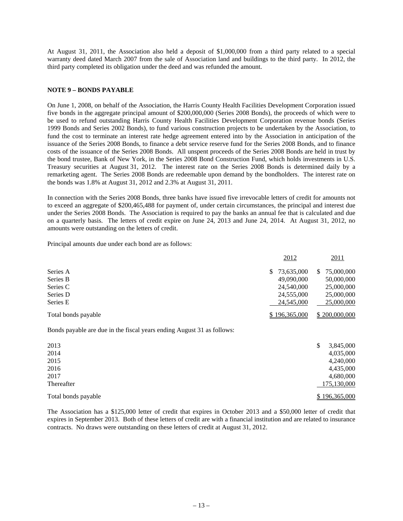At August 31, 2011, the Association also held a deposit of \$1,000,000 from a third party related to a special warranty deed dated March 2007 from the sale of Association land and buildings to the third party. In 2012, the third party completed its obligation under the deed and was refunded the amount.

#### **NOTE 9 – BONDS PAYABLE**

On June 1, 2008, on behalf of the Association, the Harris County Health Facilities Development Corporation issued five bonds in the aggregate principal amount of \$200,000,000 (Series 2008 Bonds), the proceeds of which were to be used to refund outstanding Harris County Health Facilities Development Corporation revenue bonds (Series 1999 Bonds and Series 2002 Bonds), to fund various construction projects to be undertaken by the Association, to fund the cost to terminate an interest rate hedge agreement entered into by the Association in anticipation of the issuance of the Series 2008 Bonds, to finance a debt service reserve fund for the Series 2008 Bonds, and to finance costs of the issuance of the Series 2008 Bonds. All unspent proceeds of the Series 2008 Bonds are held in trust by the bond trustee, Bank of New York, in the Series 2008 Bond Construction Fund, which holds investments in U.S. Treasury securities at August 31, 2012. The interest rate on the Series 2008 Bonds is determined daily by a remarketing agent. The Series 2008 Bonds are redeemable upon demand by the bondholders. The interest rate on the bonds was 1.8% at August 31, 2012 and 2.3% at August 31, 2011.

In connection with the Series 2008 Bonds, three banks have issued five irrevocable letters of credit for amounts not to exceed an aggregate of \$200,465,488 for payment of, under certain circumstances, the principal and interest due under the Series 2008 Bonds. The Association is required to pay the banks an annual fee that is calculated and due on a quarterly basis. The letters of credit expire on June 24, 2013 and June 24, 2014. At August 31, 2012, no amounts were outstanding on the letters of credit.

Principal amounts due under each bond are as follows:

|                     | 2012          | 2011            |
|---------------------|---------------|-----------------|
| Series A            | \$73.635.000  | 75,000,000<br>S |
| Series B            | 49,090,000    | 50,000,000      |
| Series C            | 24,540,000    | 25,000,000      |
| Series D            | 24,555,000    | 25,000,000      |
| Series E            | 24,545,000    | 25,000,000      |
| Total bonds payable | \$196,365,000 | \$200,000,000   |

Bonds payable are due in the fiscal years ending August 31 as follows:

| 2013                | 3,845,000      |
|---------------------|----------------|
| 2014                | 4,035,000      |
| 2015                | 4,240,000      |
| 2016                | 4,435,000      |
| 2017                | 4,680,000      |
| Thereafter          | $-175,130,000$ |
| Total bonds payable | \$196,365,000  |

The Association has a \$125,000 letter of credit that expires in October 2013 and a \$50,000 letter of credit that expires in September 2013. Both of these letters of credit are with a financial institution and are related to insurance contracts. No draws were outstanding on these letters of credit at August 31, 2012.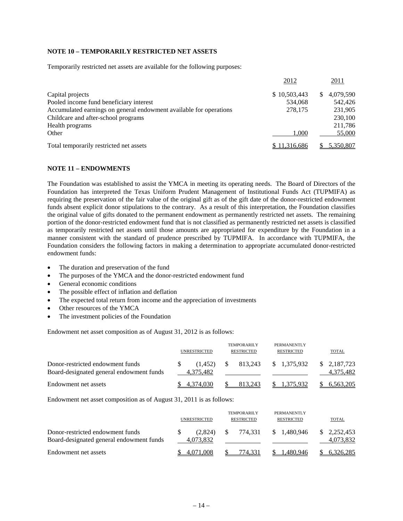#### **NOTE 10 – TEMPORARILY RESTRICTED NET ASSETS**

Temporarily restricted net assets are available for the following purposes:

|                                                                    | 2012         | 2011            |
|--------------------------------------------------------------------|--------------|-----------------|
| Capital projects                                                   | \$10,503,443 | 4.079.590<br>S. |
| Pooled income fund beneficiary interest                            | 534,068      | 542,426         |
| Accumulated earnings on general endowment available for operations | 278,175      | 231,905         |
| Childcare and after-school programs                                |              | 230,100         |
| Health programs                                                    |              | 211,786         |
| Other                                                              | 1.000        | 55,000          |
| Total temporarily restricted net assets                            | \$11,316,686 | 5,350,807       |

#### **NOTE 11 – ENDOWMENTS**

The Foundation was established to assist the YMCA in meeting its operating needs. The Board of Directors of the Foundation has interpreted the Texas Uniform Prudent Management of Institutional Funds Act (TUPMIFA) as requiring the preservation of the fair value of the original gift as of the gift date of the donor-restricted endowment funds absent explicit donor stipulations to the contrary. As a result of this interpretation, the Foundation classifies the original value of gifts donated to the permanent endowment as permanently restricted net assets. The remaining portion of the donor-restricted endowment fund that is not classified as permanently restricted net assets is classified as temporarily restricted net assets until those amounts are appropriated for expenditure by the Foundation in a manner consistent with the standard of prudence prescribed by TUPMIFA. In accordance with TUPMIFA, the Foundation considers the following factors in making a determination to appropriate accumulated donor-restricted endowment funds:

- The duration and preservation of the fund
- The purposes of the YMCA and the donor-restricted endowment fund
- General economic conditions
- The possible effect of inflation and deflation
- The expected total return from income and the appreciation of investments
- Other resources of the YMCA
- The investment policies of the Foundation

Endowment net asset composition as of August 31, 2012 is as follows:

|                                                                              | UNRESTRICTED         |    | <b>TEMPORARILY</b><br><b>RESTRICTED</b> | PERMANENTLY<br><b>RESTRICTED</b> | <b>TOTAL</b>              |
|------------------------------------------------------------------------------|----------------------|----|-----------------------------------------|----------------------------------|---------------------------|
| Donor-restricted endowment funds<br>Board-designated general endowment funds | (1.452)<br>4,375,482 | -S | 813.243                                 | \$ 1,375,932                     | \$ 2,187,723<br>4,375,482 |
| Endowment net assets                                                         | 4.374.030            |    | 813.243                                 | 1.375.932                        | 6.563.205                 |

Endowment net asset composition as of August 31, 2011 is as follows:

|                                                                              | <b>UNRESTRICTED</b>  |    | <b>TEMPORARILY</b><br><b>RESTRICTED</b> | PERMANENTLY<br><b>RESTRICTED</b> | <b>TOTAL</b>                           |
|------------------------------------------------------------------------------|----------------------|----|-----------------------------------------|----------------------------------|----------------------------------------|
| Donor-restricted endowment funds<br>Board-designated general endowment funds | (2.824)<br>4.073.832 | S. | 774.331                                 | \$ 1.480.946                     | $\frac{1}{2}$ , 2.252.453<br>4.073.832 |
| Endowment net assets                                                         | 4.071.008            |    | (14,331)                                | 1.480.946                        | 6.326.285                              |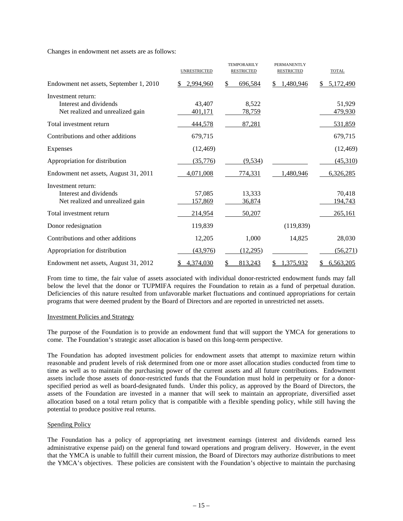Changes in endowment net assets are as follows:

|                                                                                  | <b>UNRESTRICTED</b> | <b>TEMPORARILY</b><br><b>RESTRICTED</b> | <b>PERMANENTLY</b><br><b>RESTRICTED</b> | <b>TOTAL</b>      |
|----------------------------------------------------------------------------------|---------------------|-----------------------------------------|-----------------------------------------|-------------------|
| Endowment net assets, September 1, 2010                                          | 2,994,960           | 696,584<br>S                            | <u>1,480,946</u><br>S                   | 5,172,490         |
| Investment return:<br>Interest and dividends<br>Net realized and unrealized gain | 43,407<br>401,171   | 8,522<br>78,759                         |                                         | 51,929<br>479,930 |
| Total investment return                                                          | 444,578             | 87,281                                  |                                         | 531,859           |
| Contributions and other additions                                                | 679,715             |                                         |                                         | 679,715           |
| Expenses                                                                         | (12, 469)           |                                         |                                         | (12, 469)         |
| Appropriation for distribution                                                   | (35,776)            | (9,534)                                 |                                         | (45,310)          |
| Endowment net assets, August 31, 2011                                            | 4,071,008           | 774,331                                 | 1.480.946                               | 6,326,285         |
| Investment return:<br>Interest and dividends<br>Net realized and unrealized gain | 57,085<br>157,869   | 13,333<br>36,874                        |                                         | 70,418<br>194,743 |
| Total investment return                                                          | 214,954             | 50,207                                  |                                         | 265,161           |
| Donor redesignation                                                              | 119,839             |                                         | (119, 839)                              |                   |
| Contributions and other additions                                                | 12,205              | 1,000                                   | 14,825                                  | 28,030            |
| Appropriation for distribution                                                   | (43,976)            | (12,295)                                |                                         | (56,271)          |
| Endowment net assets, August 31, 2012                                            | 4,374,030           | 813,243<br>S                            | 1.375.932<br>\$                         | 6,563,205<br>S    |

From time to time, the fair value of assets associated with individual donor-restricted endowment funds may fall below the level that the donor or TUPMIFA requires the Foundation to retain as a fund of perpetual duration. Deficiencies of this nature resulted from unfavorable market fluctuations and continued appropriations for certain programs that were deemed prudent by the Board of Directors and are reported in unrestricted net assets.

#### Investment Policies and Strategy

The purpose of the Foundation is to provide an endowment fund that will support the YMCA for generations to come. The Foundation's strategic asset allocation is based on this long-term perspective.

The Foundation has adopted investment policies for endowment assets that attempt to maximize return within reasonable and prudent levels of risk determined from one or more asset allocation studies conducted from time to time as well as to maintain the purchasing power of the current assets and all future contributions. Endowment assets include those assets of donor-restricted funds that the Foundation must hold in perpetuity or for a donorspecified period as well as board-designated funds. Under this policy, as approved by the Board of Directors, the assets of the Foundation are invested in a manner that will seek to maintain an appropriate, diversified asset allocation based on a total return policy that is compatible with a flexible spending policy, while still having the potential to produce positive real returns.

#### Spending Policy

The Foundation has a policy of appropriating net investment earnings (interest and dividends earned less administrative expense paid) on the general fund toward operations and program delivery. However, in the event that the YMCA is unable to fulfill their current mission, the Board of Directors may authorize distributions to meet the YMCA's objectives. These policies are consistent with the Foundation's objective to maintain the purchasing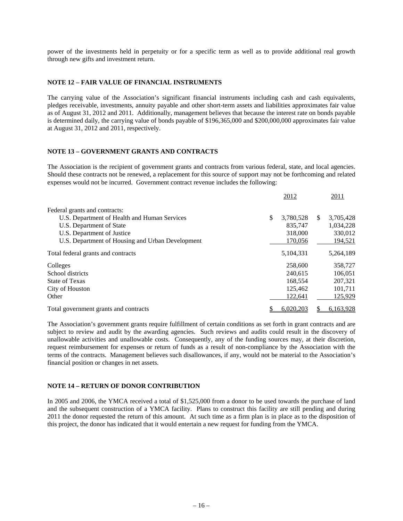power of the investments held in perpetuity or for a specific term as well as to provide additional real growth through new gifts and investment return.

#### **NOTE 12 – FAIR VALUE OF FINANCIAL INSTRUMENTS**

The carrying value of the Association's significant financial instruments including cash and cash equivalents, pledges receivable, investments, annuity payable and other short-term assets and liabilities approximates fair value as of August 31, 2012 and 2011. Additionally, management believes that because the interest rate on bonds payable is determined daily, the carrying value of bonds payable of \$196,365,000 and \$200,000,000 approximates fair value at August 31, 2012 and 2011, respectively.

## **NOTE 13 – GOVERNMENT GRANTS AND CONTRACTS**

The Association is the recipient of government grants and contracts from various federal, state, and local agencies. Should these contracts not be renewed, a replacement for this source of support may not be forthcoming and related expenses would not be incurred. Government contract revenue includes the following:

|                                                  |     | 2012      |     | 2011      |
|--------------------------------------------------|-----|-----------|-----|-----------|
| Federal grants and contracts:                    |     |           |     |           |
| U.S. Department of Health and Human Services     | \$. | 3,780,528 | \$. | 3,705,428 |
| U.S. Department of State                         |     | 835,747   |     | 1,034,228 |
| U.S. Department of Justice                       |     | 318,000   |     | 330,012   |
| U.S. Department of Housing and Urban Development |     | 170,056   |     | 194,521   |
| Total federal grants and contracts               |     | 5,104,331 |     | 5,264,189 |
| Colleges                                         |     | 258,600   |     | 358,727   |
| School districts                                 |     | 240.615   |     | 106,051   |
| State of Texas                                   |     | 168,554   |     | 207,321   |
| City of Houston                                  |     | 125,462   |     | 101,711   |
| Other                                            |     | 122,641   |     | 125,929   |
| Total government grants and contracts            |     | 6,020,203 |     | 6,163,928 |

The Association's government grants require fulfillment of certain conditions as set forth in grant contracts and are subject to review and audit by the awarding agencies. Such reviews and audits could result in the discovery of unallowable activities and unallowable costs. Consequently, any of the funding sources may, at their discretion, request reimbursement for expenses or return of funds as a result of non-compliance by the Association with the terms of the contracts. Management believes such disallowances, if any, would not be material to the Association's financial position or changes in net assets.

### **NOTE 14 – RETURN OF DONOR CONTRIBUTION**

In 2005 and 2006, the YMCA received a total of \$1,525,000 from a donor to be used towards the purchase of land and the subsequent construction of a YMCA facility. Plans to construct this facility are still pending and during 2011 the donor requested the return of this amount. At such time as a firm plan is in place as to the disposition of this project, the donor has indicated that it would entertain a new request for funding from the YMCA.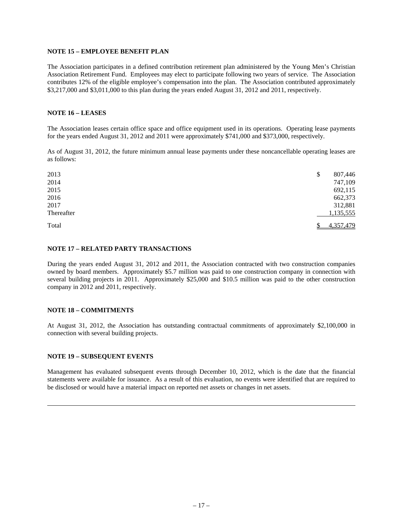#### **NOTE 15 – EMPLOYEE BENEFIT PLAN**

The Association participates in a defined contribution retirement plan administered by the Young Men's Christian Association Retirement Fund. Employees may elect to participate following two years of service. The Association contributes 12% of the eligible employee's compensation into the plan. The Association contributed approximately \$3,217,000 and \$3,011,000 to this plan during the years ended August 31, 2012 and 2011, respectively.

#### **NOTE 16 – LEASES**

The Association leases certain office space and office equipment used in its operations. Operating lease payments for the years ended August 31, 2012 and 2011 were approximately \$741,000 and \$373,000, respectively.

As of August 31, 2012, the future minimum annual lease payments under these noncancellable operating leases are as follows:

| 2013       | 807,446<br>\$ |
|------------|---------------|
| 2014       | 747,109       |
| 2015       | 692,115       |
| 2016       | 662,373       |
| 2017       | 312,881       |
| Thereafter | 1,135,555     |
| Total      | 4,357,479     |

#### **NOTE 17 – RELATED PARTY TRANSACTIONS**

During the years ended August 31, 2012 and 2011, the Association contracted with two construction companies owned by board members. Approximately \$5.7 million was paid to one construction company in connection with several building projects in 2011. Approximately \$25,000 and \$10.5 million was paid to the other construction company in 2012 and 2011, respectively.

### **NOTE 18 – COMMITMENTS**

At August 31, 2012, the Association has outstanding contractual commitments of approximately \$2,100,000 in connection with several building projects.

### **NOTE 19 – SUBSEQUENT EVENTS**

Management has evaluated subsequent events through December 10, 2012, which is the date that the financial statements were available for issuance. As a result of this evaluation, no events were identified that are required to be disclosed or would have a material impact on reported net assets or changes in net assets.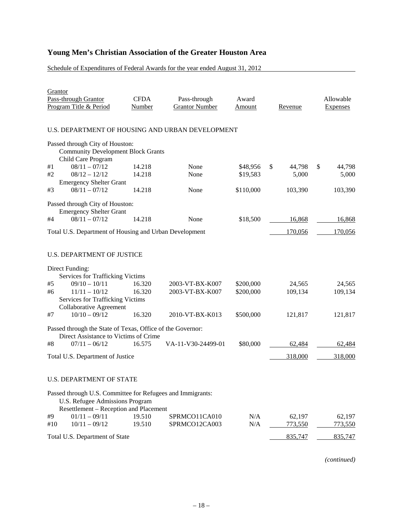| Grantor                                                                                             |             |                                |           |              |                   |
|-----------------------------------------------------------------------------------------------------|-------------|--------------------------------|-----------|--------------|-------------------|
| Pass-through Grantor                                                                                | <b>CFDA</b> | Pass-through                   | Award     |              | Allowable         |
| Program Title & Period                                                                              | Number      | <b>Grantor Number</b>          | Amount    | Revenue      | <b>Expenses</b>   |
| U.S. DEPARTMENT OF HOUSING AND URBAN DEVELOPMENT                                                    |             |                                |           |              |                   |
| Passed through City of Houston:<br><b>Community Development Block Grants</b>                        |             |                                |           |              |                   |
| Child Care Program                                                                                  |             |                                |           |              |                   |
| $08/11 - 07/12$<br>#1                                                                               | 14.218      | None                           | \$48,956  | \$<br>44.798 | \$<br>44,798      |
| $08/12 - 12/12$<br>#2                                                                               | 14.218      | None                           | \$19,583  | 5,000        | 5,000             |
| <b>Emergency Shelter Grant</b>                                                                      |             |                                |           |              |                   |
| $08/11 - 07/12$<br>#3                                                                               | 14.218      | None                           | \$110,000 | 103,390      | 103,390           |
| Passed through City of Houston:                                                                     |             |                                |           |              |                   |
| <b>Emergency Shelter Grant</b>                                                                      |             |                                |           |              |                   |
| $08/11 - 07/12$<br>#4                                                                               | 14.218      | None                           | \$18,500  | 16,868       | 16,868            |
| Total U.S. Department of Housing and Urban Development                                              |             |                                |           | 170,056      | 170,056           |
| <b>U.S. DEPARTMENT OF JUSTICE</b>                                                                   |             |                                |           |              |                   |
| Direct Funding:                                                                                     |             |                                |           |              |                   |
| Services for Trafficking Victims                                                                    |             |                                |           |              |                   |
| $09/10 - 10/11$<br>#5                                                                               | 16.320      | 2003-VT-BX-K007                | \$200,000 | 24,565       | 24,565            |
| $11/11 - 10/12$<br>#6                                                                               | 16.320      | 2003-VT-BX-K007                | \$200,000 | 109,134      | 109,134           |
| Services for Trafficking Victims                                                                    |             |                                |           |              |                   |
| <b>Collaborative Agreement</b>                                                                      |             |                                |           |              |                   |
| $10/10 - 09/12$<br>#7                                                                               | 16.320      | 2010-VT-BX-K013                | \$500,000 | 121,817      | 121,817           |
| Passed through the State of Texas, Office of the Governor:<br>Direct Assistance to Victims of Crime |             |                                |           |              |                   |
| $07/11 - 06/12$<br>#8                                                                               | 16.575      | VA-11-V30-24499-01             | \$80,000  | 62,484       | 62,484            |
| Total U.S. Department of Justice                                                                    |             |                                |           | 318,000      | 318,000           |
|                                                                                                     |             |                                |           |              |                   |
| <b>U.S. DEPARTMENT OF STATE</b>                                                                     |             |                                |           |              |                   |
| Passed through U.S. Committee for Refugees and Immigrants:<br>U.S. Refugee Admissions Program       |             |                                |           |              |                   |
| Resettlement - Reception and Placement<br>$01/11 - 09/11$<br>#9                                     | 19.510      |                                | N/A       | 62,197       |                   |
| $10/11 - 09/12$<br>#10                                                                              | 19.510      | SPRMCO11CA010<br>SPRMCO12CA003 | N/A       | 773,550      | 62,197<br>773,550 |
|                                                                                                     |             |                                |           |              |                   |
| Total U.S. Department of State                                                                      |             |                                |           | 835,747      | 835,747           |

Schedule of Expenditures of Federal Awards for the year ended August 31, 2012

*(continued)*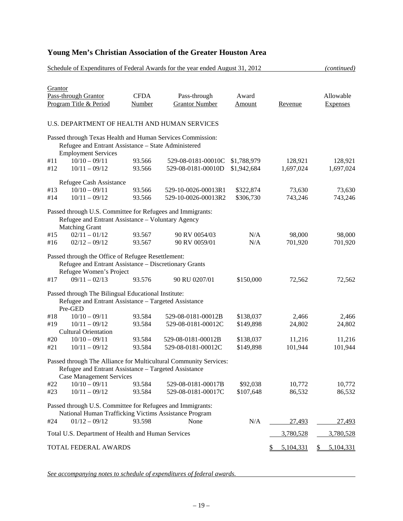| Schedule of Expenditures of Federal Awards for the year ended August 31, 2012 |                                                                                                                                        |                              |                                                                   |                 |           | (continued)                  |
|-------------------------------------------------------------------------------|----------------------------------------------------------------------------------------------------------------------------------------|------------------------------|-------------------------------------------------------------------|-----------------|-----------|------------------------------|
| Grantor                                                                       | Pass-through Grantor<br>Program Title & Period                                                                                         | <b>CFDA</b><br><b>Number</b> | Pass-through<br><b>Grantor Number</b>                             | Award<br>Amount | Revenue   | Allowable<br><b>Expenses</b> |
|                                                                               |                                                                                                                                        |                              | U.S. DEPARTMENT OF HEALTH AND HUMAN SERVICES                      |                 |           |                              |
|                                                                               | Refugee and Entrant Assistance - State Administered<br><b>Employment Services</b>                                                      |                              | Passed through Texas Health and Human Services Commission:        |                 |           |                              |
| #11                                                                           | $10/10 - 09/11$                                                                                                                        | 93.566                       | 529-08-0181-00010C                                                | \$1,788,979     | 128,921   | 128,921                      |
| #12                                                                           | $10/11 - 09/12$                                                                                                                        | 93.566                       | 529-08-0181-00010D                                                | \$1,942,684     | 1,697,024 | 1,697,024                    |
|                                                                               | Refugee Cash Assistance                                                                                                                |                              |                                                                   |                 |           |                              |
| #13                                                                           | $10/10 - 09/11$                                                                                                                        | 93.566                       | 529-10-0026-00013R1                                               | \$322,874       | 73,630    | 73,630                       |
| #14                                                                           | $10/11 - 09/12$                                                                                                                        | 93.566                       | 529-10-0026-00013R2                                               | \$306,730       | 743,246   | 743,246                      |
|                                                                               | Refugee and Entrant Assistance - Voluntary Agency<br><b>Matching Grant</b>                                                             |                              | Passed through U.S. Committee for Refugees and Immigrants:        |                 |           |                              |
| #15                                                                           | $02/11 - 01/12$                                                                                                                        | 93.567                       | 90 RV 0054/03                                                     | N/A             | 98,000    | 98,000                       |
| #16                                                                           | $02/12 - 09/12$                                                                                                                        | 93.567                       | 90 RV 0059/01                                                     | N/A             | 701,920   | 701,920                      |
|                                                                               | Passed through the Office of Refugee Resettlement:<br>Refugee and Entrant Assistance - Discretionary Grants<br>Refugee Women's Project |                              |                                                                   |                 |           |                              |
| #17                                                                           | $09/11 - 02/13$                                                                                                                        | 93.576                       | 90 RU 0207/01                                                     | \$150,000       | 72,562    | 72,562                       |
|                                                                               | Passed through The Bilingual Educational Institute:<br>Refugee and Entrant Assistance - Targeted Assistance<br>Pre-GED                 |                              |                                                                   |                 |           |                              |
| #18                                                                           | $10/10 - 09/11$                                                                                                                        | 93.584                       | 529-08-0181-00012B                                                | \$138,037       | 2,466     | 2,466                        |
| #19                                                                           | $10/11 - 09/12$                                                                                                                        | 93.584                       | 529-08-0181-00012C                                                | \$149,898       | 24,802    | 24,802                       |
| #20                                                                           | <b>Cultural Orientation</b><br>$10/10 - 09/11$                                                                                         | 93.584                       | 529-08-0181-00012B                                                | \$138,037       | 11,216    | 11,216                       |
| #21                                                                           | $10/11 - 09/12$                                                                                                                        | 93.584                       | 529-08-0181-00012C                                                | \$149,898       | 101,944   | 101,944                      |
|                                                                               | Refugee and Entrant Assistance - Targeted Assistance<br><b>Case Management Services</b>                                                |                              | Passed through The Alliance for Multicultural Community Services: |                 |           |                              |
| #22                                                                           | $10/10 - 09/11$                                                                                                                        | 93.584                       | 529-08-0181-00017B                                                | \$92,038        | 10,772    | 10,772                       |
| #23                                                                           | $10/11 - 09/12$                                                                                                                        | 93.584                       | 529-08-0181-00017C                                                | \$107,648       | 86,532    | 86,532                       |
|                                                                               | National Human Trafficking Victims Assistance Program                                                                                  |                              | Passed through U.S. Committee for Refugees and Immigrants:        |                 |           |                              |
| #24                                                                           | $01/12 - 09/12$                                                                                                                        | 93.598                       | None                                                              | N/A             | 27,493    | 27,493                       |
| Total U.S. Department of Health and Human Services                            |                                                                                                                                        |                              |                                                                   |                 | 3,780,528 | 3,780,528                    |
| TOTAL FEDERAL AWARDS<br>5,104,331                                             |                                                                                                                                        |                              |                                                                   |                 | 5,104,331 |                              |

*See accompanying notes to schedule of expenditures of federal awards.*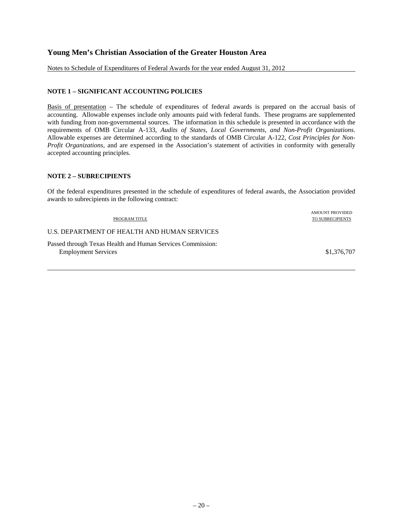Notes to Schedule of Expenditures of Federal Awards for the year ended August 31, 2012

#### **NOTE 1 – SIGNIFICANT ACCOUNTING POLICIES**

Basis of presentation – The schedule of expenditures of federal awards is prepared on the accrual basis of accounting. Allowable expenses include only amounts paid with federal funds. These programs are supplemented with funding from non-governmental sources. The information in this schedule is presented in accordance with the requirements of OMB Circular A-133, *Audits of States, Local Governments, and Non-Profit Organizations*. Allowable expenses are determined according to the standards of OMB Circular A-122, *Cost Principles for Non-Profit Organizations*, and are expensed in the Association's statement of activities in conformity with generally accepted accounting principles.

#### **NOTE 2 – SUBRECIPIENTS**

Of the federal expenditures presented in the schedule of expenditures of federal awards, the Association provided awards to subrecipients in the following contract:

PROGRAM TITLE TO SUBRECIPIENTS

## U.S. DEPARTMENT OF HEALTH AND HUMAN SERVICES

Passed through Texas Health and Human Services Commission: Employment Services  $$1,376,707$ 

AMOUNT PROVIDED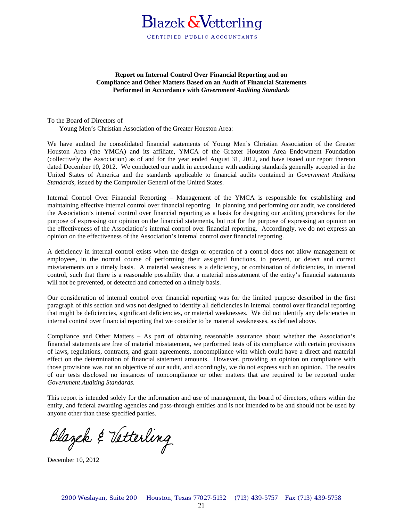

#### **Report on Internal Control Over Financial Reporting and on Compliance and Other Matters Based on an Audit of Financial Statements Performed in Accordance with** *Government Auditing Standards*

To the Board of Directors of Young Men's Christian Association of the Greater Houston Area:

We have audited the consolidated financial statements of Young Men's Christian Association of the Greater Houston Area (the YMCA) and its affiliate, YMCA of the Greater Houston Area Endowment Foundation (collectively the Association) as of and for the year ended August 31, 2012, and have issued our report thereon dated December 10, 2012. We conducted our audit in accordance with auditing standards generally accepted in the United States of America and the standards applicable to financial audits contained in *Government Auditing Standards*, issued by the Comptroller General of the United States.

Internal Control Over Financial Reporting – Management of the YMCA is responsible for establishing and maintaining effective internal control over financial reporting. In planning and performing our audit, we considered the Association's internal control over financial reporting as a basis for designing our auditing procedures for the purpose of expressing our opinion on the financial statements, but not for the purpose of expressing an opinion on the effectiveness of the Association's internal control over financial reporting. Accordingly, we do not express an opinion on the effectiveness of the Association's internal control over financial reporting.

A deficiency in internal control exists when the design or operation of a control does not allow management or employees, in the normal course of performing their assigned functions, to prevent, or detect and correct misstatements on a timely basis. A material weakness is a deficiency, or combination of deficiencies, in internal control, such that there is a reasonable possibility that a material misstatement of the entity's financial statements will not be prevented, or detected and corrected on a timely basis.

Our consideration of internal control over financial reporting was for the limited purpose described in the first paragraph of this section and was not designed to identify all deficiencies in internal control over financial reporting that might be deficiencies, significant deficiencies, or material weaknesses. We did not identify any deficiencies in internal control over financial reporting that we consider to be material weaknesses, as defined above.

Compliance and Other Matters – As part of obtaining reasonable assurance about whether the Association's financial statements are free of material misstatement, we performed tests of its compliance with certain provisions of laws, regulations, contracts, and grant agreements, noncompliance with which could have a direct and material effect on the determination of financial statement amounts. However, providing an opinion on compliance with those provisions was not an objective of our audit, and accordingly, we do not express such an opinion. The results of our tests disclosed no instances of noncompliance or other matters that are required to be reported under *Government Auditing Standards*.

This report is intended solely for the information and use of management, the board of directors, others within the entity, and federal awarding agencies and pass-through entities and is not intended to be and should not be used by anyone other than these specified parties.

Blazek & Vetterling

December 10, 2012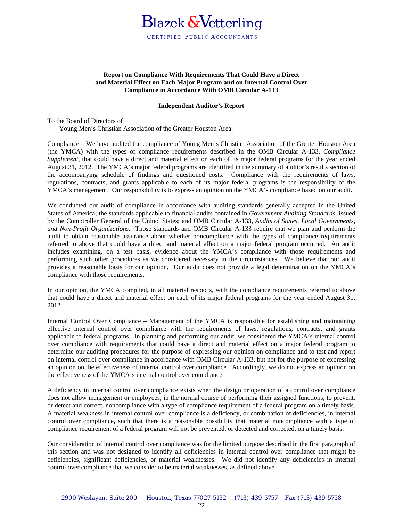

#### **Report on Compliance With Requirements That Could Have a Direct and Material Effect on Each Major Program and on Internal Control Over Compliance in Accordance With OMB Circular A-133**

#### **Independent Auditor's Report**

To the Board of Directors of

Young Men's Christian Association of the Greater Houston Area:

Compliance – We have audited the compliance of Young Men's Christian Association of the Greater Houston Area (the YMCA) with the types of compliance requirements described in the OMB Circular A-133, *Compliance Supplement*, that could have a direct and material effect on each of its major federal programs for the year ended August 31, 2012. The YMCA's major federal programs are identified in the summary of auditor's results section of the accompanying schedule of findings and questioned costs. Compliance with the requirements of laws, regulations, contracts, and grants applicable to each of its major federal programs is the responsibility of the YMCA's management. Our responsibility is to express an opinion on the YMCA's compliance based on our audit.

We conducted our audit of compliance in accordance with auditing standards generally accepted in the United States of America; the standards applicable to financial audits contained in *Government Auditing Standards*, issued by the Comptroller General of the United States; and OMB Circular A-133, *Audits of States, Local Governments, and Non-Profit Organizations*. Those standards and OMB Circular A-133 require that we plan and perform the audit to obtain reasonable assurance about whether noncompliance with the types of compliance requirements referred to above that could have a direct and material effect on a major federal program occurred. An audit includes examining, on a test basis, evidence about the YMCA's compliance with those requirements and performing such other procedures as we considered necessary in the circumstances. We believe that our audit provides a reasonable basis for our opinion. Our audit does not provide a legal determination on the YMCA's compliance with those requirements.

In our opinion, the YMCA complied, in all material respects, with the compliance requirements referred to above that could have a direct and material effect on each of its major federal programs for the year ended August 31, 2012.

Internal Control Over Compliance – Management of the YMCA is responsible for establishing and maintaining effective internal control over compliance with the requirements of laws, regulations, contracts, and grants applicable to federal programs. In planning and performing our audit, we considered the YMCA's internal control over compliance with requirements that could have a direct and material effect on a major federal program to determine our auditing procedures for the purpose of expressing our opinion on compliance and to test and report on internal control over compliance in accordance with OMB Circular A-133, but not for the purpose of expressing an opinion on the effectiveness of internal control over compliance. Accordingly, we do not express an opinion on the effectiveness of the YMCA's internal control over compliance.

A deficiency in internal control over compliance exists when the design or operation of a control over compliance does not allow management or employees, in the normal course of performing their assigned functions, to prevent, or detect and correct, noncompliance with a type of compliance requirement of a federal program on a timely basis. A material weakness in internal control over compliance is a deficiency, or combination of deficiencies, in internal control over compliance, such that there is a reasonable possibility that material noncompliance with a type of compliance requirement of a federal program will not be prevented, or detected and corrected, on a timely basis.

Our consideration of internal control over compliance was for the limited purpose described in the first paragraph of this section and was not designed to identify all deficiencies in internal control over compliance that might be deficiencies, significant deficiencies, or material weaknesses. We did not identify any deficiencies in internal control over compliance that we consider to be material weaknesses, as defined above.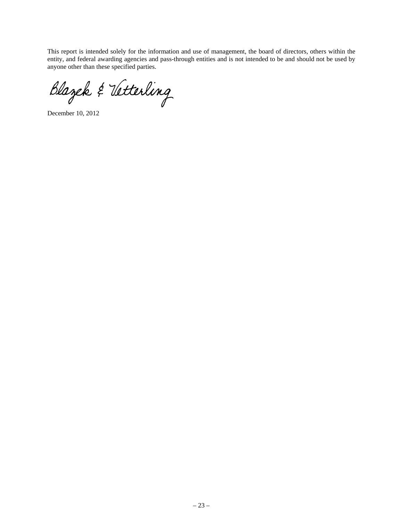This report is intended solely for the information and use of management, the board of directors, others within the entity, and federal awarding agencies and pass-through entities and is not intended to be and should not be used by anyone other than these specified parties.

Blazek & Vetterling

December 10, 2012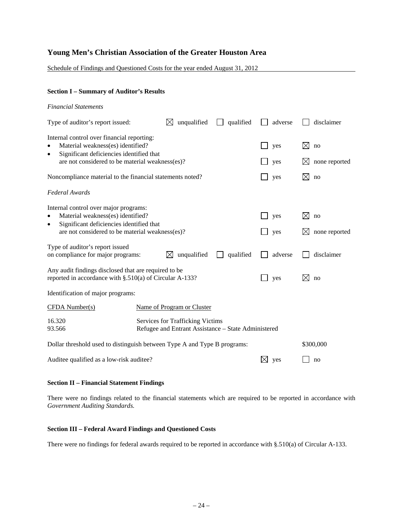Schedule of Findings and Questioned Costs for the year ended August 31, 2012

### **Section I – Summary of Auditor's Results**

| <b>Financial Statements</b>                                                                                                                                                                              |                                                                                         |                   |            |                          |  |  |
|----------------------------------------------------------------------------------------------------------------------------------------------------------------------------------------------------------|-----------------------------------------------------------------------------------------|-------------------|------------|--------------------------|--|--|
| Type of auditor's report issued:                                                                                                                                                                         | unqualified<br>IХI                                                                      | qualified         | adverse    | disclaimer               |  |  |
| Internal control over financial reporting:<br>Material weakness(es) identified?<br>$\bullet$<br>Significant deficiencies identified that<br>$\bullet$<br>are not considered to be material weakness(es)? |                                                                                         |                   | yes<br>yes | ⊠<br>no<br>none reported |  |  |
| Noncompliance material to the financial statements noted?                                                                                                                                                | yes                                                                                     | $\boxtimes$<br>no |            |                          |  |  |
| Federal Awards                                                                                                                                                                                           |                                                                                         |                   |            |                          |  |  |
| Internal control over major programs:<br>Material weakness(es) identified?<br>$\bullet$<br>Significant deficiencies identified that<br>$\bullet$<br>are not considered to be material weakness(es)?      |                                                                                         |                   | yes<br>yes | ⊠<br>no<br>none reported |  |  |
| Type of auditor's report issued<br>on compliance for major programs:                                                                                                                                     | adverse                                                                                 | disclaimer        |            |                          |  |  |
| Any audit findings disclosed that are required to be<br>reported in accordance with §.510(a) of Circular A-133?                                                                                          | $\bowtie$<br>no                                                                         |                   |            |                          |  |  |
| Identification of major programs:                                                                                                                                                                        |                                                                                         |                   |            |                          |  |  |
| CFDA Number(s)                                                                                                                                                                                           |                                                                                         |                   |            |                          |  |  |
| 16.320<br>93.566                                                                                                                                                                                         | Services for Trafficking Victims<br>Refugee and Entrant Assistance - State Administered |                   |            |                          |  |  |
| Dollar threshold used to distinguish between Type A and Type B programs:                                                                                                                                 | \$300,000                                                                               |                   |            |                          |  |  |
| Auditee qualified as a low-risk auditee?                                                                                                                                                                 | ⊠<br>yes                                                                                | no                |            |                          |  |  |

#### **Section II – Financial Statement Findings**

There were no findings related to the financial statements which are required to be reported in accordance with *Government Auditing Standards.* 

#### **Section III – Federal Award Findings and Questioned Costs**

There were no findings for federal awards required to be reported in accordance with §.510(a) of Circular A-133.